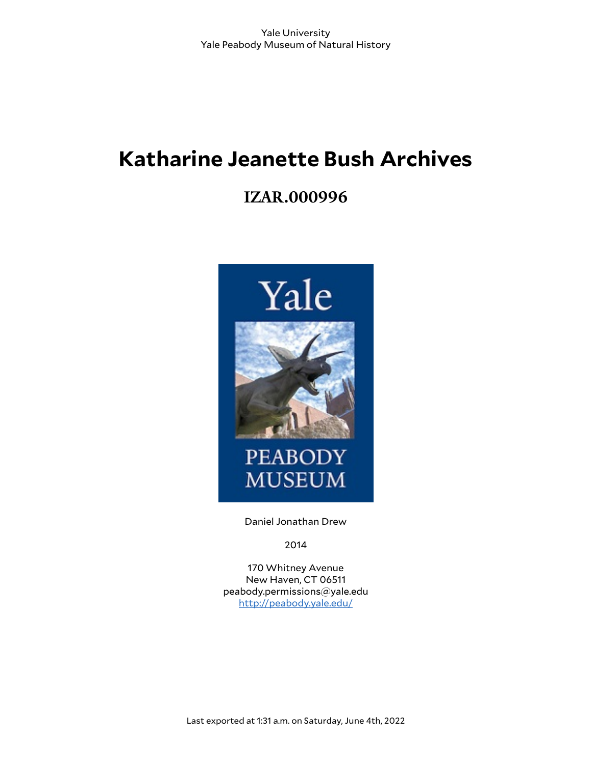# **Katharine Jeanette Bush Archives**

# **IZAR.000996**



Daniel Jonathan Drew

2014

170 Whitney Avenue New Haven, CT 06511 peabody.permissions@yale.edu <http://peabody.yale.edu/>

Last exported at 1:31 a.m. on Saturday, June 4th, 2022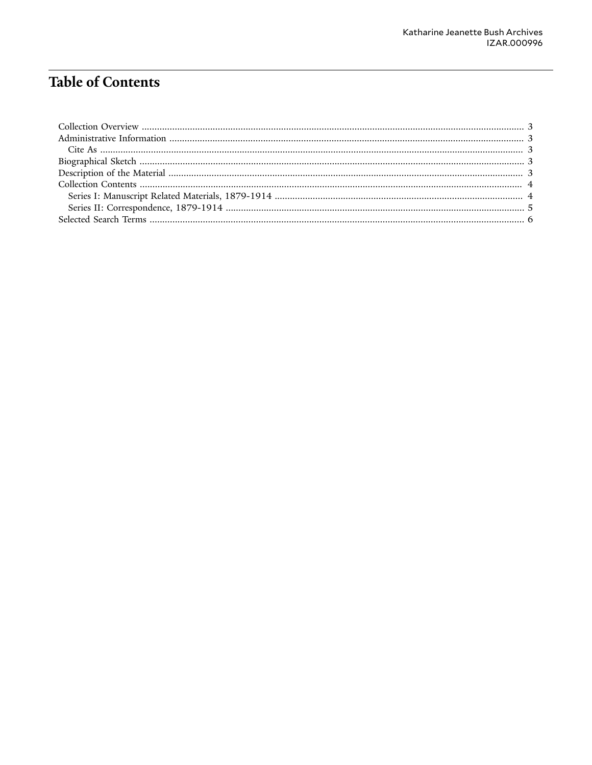## **Table of Contents**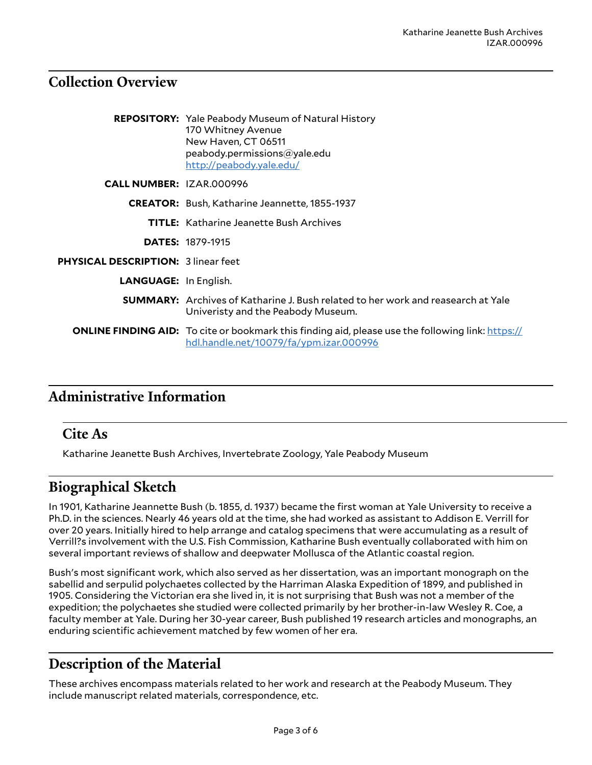### <span id="page-2-0"></span>**Collection Overview**

|                                            | <b>REPOSITORY:</b> Yale Peabody Museum of Natural History<br>170 Whitney Avenue<br>New Haven, CT 06511<br>peabody.permissions@yale.edu<br>http://peabody.yale.edu/ |  |
|--------------------------------------------|--------------------------------------------------------------------------------------------------------------------------------------------------------------------|--|
| <b>CALL NUMBER: IZAR.000996</b>            |                                                                                                                                                                    |  |
|                                            | <b>CREATOR:</b> Bush, Katharine Jeannette, 1855-1937                                                                                                               |  |
|                                            | <b>TITLE:</b> Katharine Jeanette Bush Archives                                                                                                                     |  |
|                                            | <b>DATES: 1879-1915</b>                                                                                                                                            |  |
| <b>PHYSICAL DESCRIPTION: 3 linear feet</b> |                                                                                                                                                                    |  |
| <b>LANGUAGE:</b> In English.               |                                                                                                                                                                    |  |
|                                            | <b>SUMMARY:</b> Archives of Katharine J. Bush related to her work and reasearch at Yale<br>Univeristy and the Peabody Museum.                                      |  |
|                                            | <b>ONLINE FINDING AID:</b> To cite or bookmark this finding aid, please use the following link: https://<br>hdl.handle.net/10079/fa/ypm.izar.000996                |  |

### <span id="page-2-1"></span>**Administrative Information**

#### <span id="page-2-2"></span>**Cite As**

Katharine Jeanette Bush Archives, Invertebrate Zoology, Yale Peabody Museum

### <span id="page-2-3"></span>**Biographical Sketch**

In 1901, Katharine Jeannette Bush (b. 1855, d. 1937) became the first woman at Yale University to receive a Ph.D. in the sciences. Nearly 46 years old at the time, she had worked as assistant to Addison E. Verrill for over 20 years. Initially hired to help arrange and catalog specimens that were accumulating as a result of Verrill?s involvement with the U.S. Fish Commission, Katharine Bush eventually collaborated with him on several important reviews of shallow and deepwater Mollusca of the Atlantic coastal region.

Bush's most significant work, which also served as her dissertation, was an important monograph on the sabellid and serpulid polychaetes collected by the Harriman Alaska Expedition of 1899, and published in 1905. Considering the Victorian era she lived in, it is not surprising that Bush was not a member of the expedition; the polychaetes she studied were collected primarily by her brother-in-law Wesley R. Coe, a faculty member at Yale. During her 30-year career, Bush published 19 research articles and monographs, an enduring scientific achievement matched by few women of her era.

### <span id="page-2-4"></span>**Description of the Material**

These archives encompass materials related to her work and research at the Peabody Museum. They include manuscript related materials, correspondence, etc.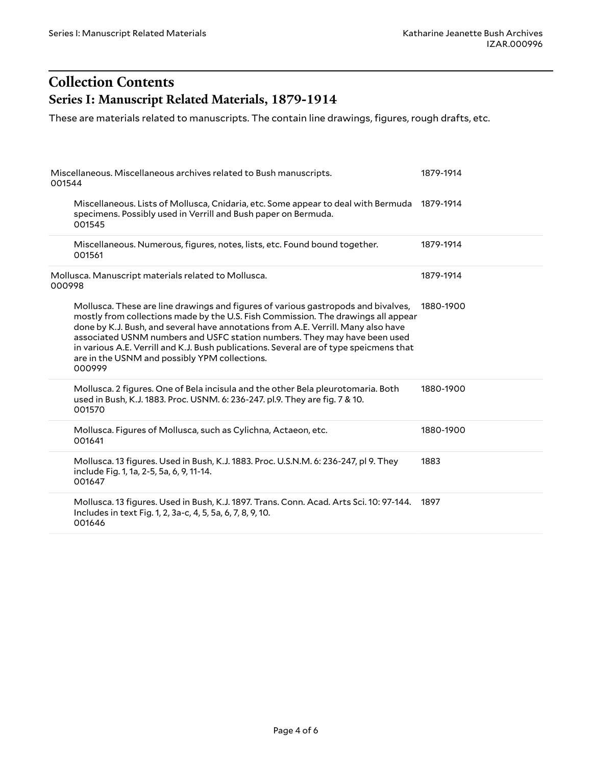### <span id="page-3-1"></span><span id="page-3-0"></span>**Collection Contents Series I: Manuscript Related Materials, 1879-1914**

These are materials related to manuscripts. The contain line drawings, figures, rough drafts, etc.

| Miscellaneous. Miscellaneous archives related to Bush manuscripts.<br>001544                                                                                                                                                                                                                                                                                                                                                                                                                  | 1879-1914 |
|-----------------------------------------------------------------------------------------------------------------------------------------------------------------------------------------------------------------------------------------------------------------------------------------------------------------------------------------------------------------------------------------------------------------------------------------------------------------------------------------------|-----------|
| Miscellaneous. Lists of Mollusca, Cnidaria, etc. Some appear to deal with Bermuda 1879-1914<br>specimens. Possibly used in Verrill and Bush paper on Bermuda.<br>001545                                                                                                                                                                                                                                                                                                                       |           |
| Miscellaneous. Numerous, figures, notes, lists, etc. Found bound together.<br>001561                                                                                                                                                                                                                                                                                                                                                                                                          | 1879-1914 |
| Mollusca. Manuscript materials related to Mollusca.<br>000998                                                                                                                                                                                                                                                                                                                                                                                                                                 | 1879-1914 |
| Mollusca. These are line drawings and figures of various gastropods and bivalves,<br>mostly from collections made by the U.S. Fish Commission. The drawings all appear<br>done by K.J. Bush, and several have annotations from A.E. Verrill. Many also have<br>associated USNM numbers and USFC station numbers. They may have been used<br>in various A.E. Verrill and K.J. Bush publications. Several are of type speicmens that<br>are in the USNM and possibly YPM collections.<br>000999 | 1880-1900 |
| Mollusca. 2 figures. One of Bela incisula and the other Bela pleurotomaria. Both<br>used in Bush, K.J. 1883. Proc. USNM. 6: 236-247. pl.9. They are fig. 7 & 10.<br>001570                                                                                                                                                                                                                                                                                                                    | 1880-1900 |
| Mollusca. Figures of Mollusca, such as Cylichna, Actaeon, etc.<br>001641                                                                                                                                                                                                                                                                                                                                                                                                                      | 1880-1900 |
| Mollusca. 13 figures. Used in Bush, K.J. 1883. Proc. U.S.N.M. 6: 236-247, pl 9. They<br>include Fig. 1, 1a, 2-5, 5a, 6, 9, 11-14.<br>001647                                                                                                                                                                                                                                                                                                                                                   | 1883      |
| Mollusca. 13 figures. Used in Bush, K.J. 1897. Trans. Conn. Acad. Arts Sci. 10: 97-144.<br>Includes in text Fig. 1, 2, 3a-c, 4, 5, 5a, 6, 7, 8, 9, 10.<br>001646                                                                                                                                                                                                                                                                                                                              | 1897      |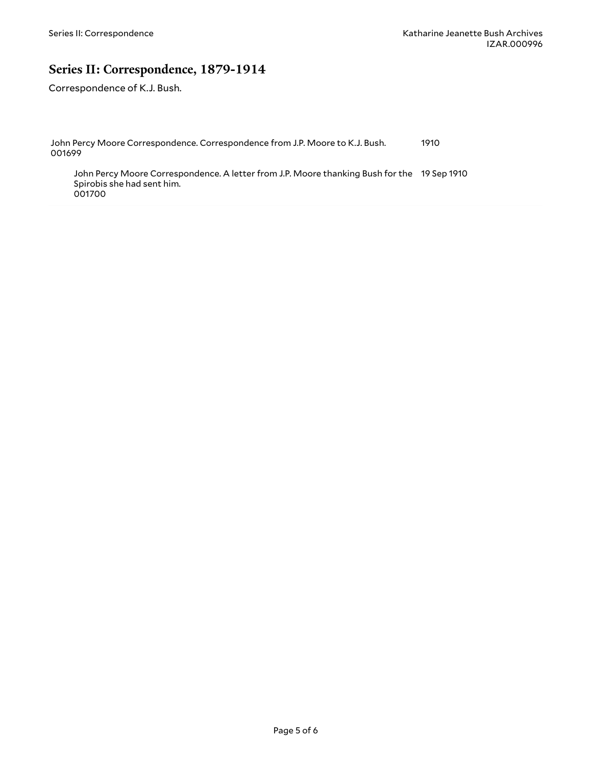#### <span id="page-4-0"></span>**Series II: Correspondence, 1879-1914**

Correspondence of K.J. Bush.

Spirobis she had sent him.

001700

John Percy Moore Correspondence. Correspondence from J.P. Moore to K.J. Bush. 001699 1910 John Percy Moore Correspondence. A letter from J.P. Moore thanking Bush for the 19 Sep 1910

Page 5 of 6